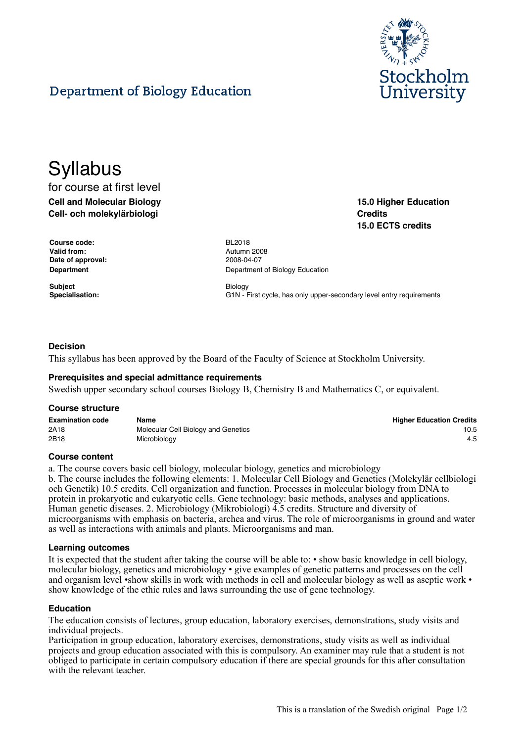

**15.0 Higher Education**

**15.0 ECTS credits**

**Credits**

# Department of Biology Education

# **Syllabus**

# for course at first level **Cell and Molecular Biology Cell- och molekylärbiologi**

**Course code:** BL2018 **Valid from:** Autumn 2008 **Date of approval:** 2008-04-07

**Subject** Biology

**Department Department Department** of Biology Education

Specialisation: **G1N** - First cycle, has only upper-secondary level entry requirements

# **Decision**

This syllabus has been approved by the Board of the Faculty of Science at Stockholm University.

#### **Prerequisites and special admittance requirements**

Swedish upper secondary school courses Biology B, Chemistry B and Mathematics C, or equivalent.

#### **Course structure**

| <b>Examination code</b> | Name                                | <b>Higher Education Credits</b> |
|-------------------------|-------------------------------------|---------------------------------|
| 2A18                    | Molecular Cell Biology and Genetics | 10.5                            |
| 2B18                    | Microbiology                        | 4.5                             |

#### **Course content**

a. The course covers basic cell biology, molecular biology, genetics and microbiology

b. The course includes the following elements: 1. Molecular Cell Biology and Genetics (Molekylär cellbiologi och Genetik) 10.5 credits. Cell organization and function. Processes in molecular biology from DNA to protein in prokaryotic and eukaryotic cells. Gene technology: basic methods, analyses and applications. Human genetic diseases. 2. Microbiology (Mikrobiologi) 4.5 credits. Structure and diversity of microorganisms with emphasis on bacteria, archea and virus. The role of microorganisms in ground and water as well as interactions with animals and plants. Microorganisms and man.

#### **Learning outcomes**

It is expected that the student after taking the course will be able to: • show basic knowledge in cell biology, molecular biology, genetics and microbiology • give examples of genetic patterns and processes on the cell and organism level •show skills in work with methods in cell and molecular biology as well as aseptic work • show knowledge of the ethic rules and laws surrounding the use of gene technology.

#### **Education**

The education consists of lectures, group education, laboratory exercises, demonstrations, study visits and individual projects.

Participation in group education, laboratory exercises, demonstrations, study visits as well as individual projects and group education associated with this is compulsory. An examiner may rule that a student is not obliged to participate in certain compulsory education if there are special grounds for this after consultation with the relevant teacher.